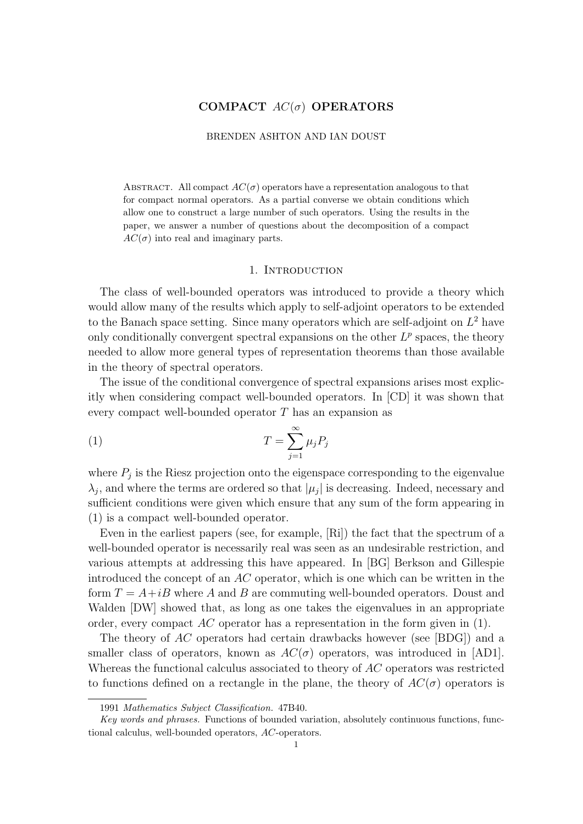# COMPACT  $AC(\sigma)$  OPERATORS

# BRENDEN ASHTON AND IAN DOUST

ABSTRACT. All compact  $AC(\sigma)$  operators have a representation analogous to that for compact normal operators. As a partial converse we obtain conditions which allow one to construct a large number of such operators. Using the results in the paper, we answer a number of questions about the decomposition of a compact  $AC(\sigma)$  into real and imaginary parts.

# 1. INTRODUCTION

The class of well-bounded operators was introduced to provide a theory which would allow many of the results which apply to self-adjoint operators to be extended to the Banach space setting. Since many operators which are self-adjoint on  $L^2$  have only conditionally convergent spectral expansions on the other  $L^p$  spaces, the theory needed to allow more general types of representation theorems than those available in the theory of spectral operators.

The issue of the conditional convergence of spectral expansions arises most explicitly when considering compact well-bounded operators. In [CD] it was shown that every compact well-bounded operator T has an expansion as

$$
(1) \t\t T = \sum_{j=1}^{\infty} \mu_j P_j
$$

where  $P_j$  is the Riesz projection onto the eigenspace corresponding to the eigenvalue  $\lambda_j$ , and where the terms are ordered so that  $|\mu_j|$  is decreasing. Indeed, necessary and sufficient conditions were given which ensure that any sum of the form appearing in (1) is a compact well-bounded operator.

Even in the earliest papers (see, for example, [Ri]) the fact that the spectrum of a well-bounded operator is necessarily real was seen as an undesirable restriction, and various attempts at addressing this have appeared. In [BG] Berkson and Gillespie introduced the concept of an AC operator, which is one which can be written in the form  $T = A + iB$  where A and B are commuting well-bounded operators. Doust and Walden [DW] showed that, as long as one takes the eigenvalues in an appropriate order, every compact  $AC$  operator has a representation in the form given in (1).

The theory of AC operators had certain drawbacks however (see [BDG]) and a smaller class of operators, known as  $AC(\sigma)$  operators, was introduced in [AD1]. Whereas the functional calculus associated to theory of AC operators was restricted to functions defined on a rectangle in the plane, the theory of  $AC(\sigma)$  operators is

<sup>1991</sup> Mathematics Subject Classification. 47B40.

Key words and phrases. Functions of bounded variation, absolutely continuous functions, functional calculus, well-bounded operators, AC-operators.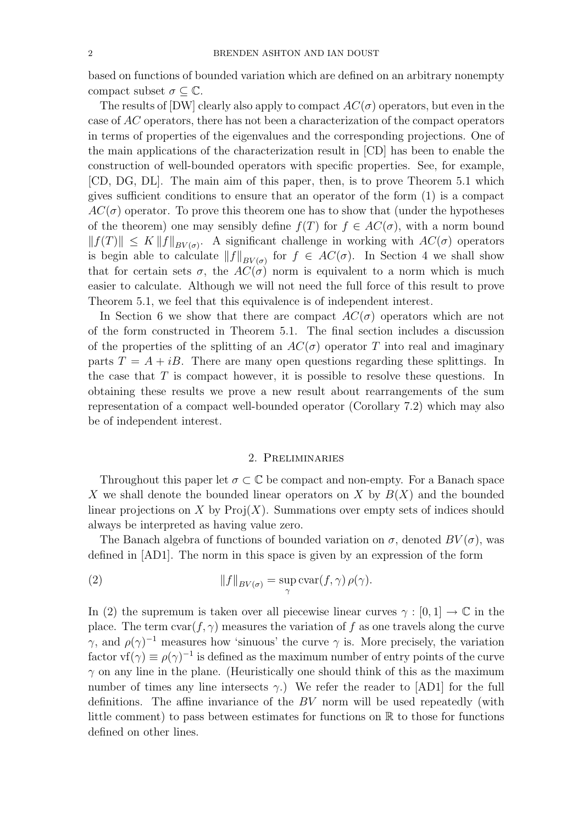based on functions of bounded variation which are defined on an arbitrary nonempty compact subset  $\sigma \subseteq \mathbb{C}$ .

The results of [DW] clearly also apply to compact  $AC(\sigma)$  operators, but even in the case of AC operators, there has not been a characterization of the compact operators in terms of properties of the eigenvalues and the corresponding projections. One of the main applications of the characterization result in [CD] has been to enable the construction of well-bounded operators with specific properties. See, for example, [CD, DG, DL]. The main aim of this paper, then, is to prove Theorem 5.1 which gives sufficient conditions to ensure that an operator of the form (1) is a compact  $AC(\sigma)$  operator. To prove this theorem one has to show that (under the hypotheses of the theorem) one may sensibly define  $f(T)$  for  $f \in AC(\sigma)$ , with a norm bound  $||f(T)|| \leq K ||f||_{BV(\sigma)}$ . A significant challenge in working with  $AC(\sigma)$  operators is begin able to calculate  $||f||_{BV(\sigma)}$  for  $f \in AC(\sigma)$ . In Section 4 we shall show that for certain sets  $\sigma$ , the  $AC(\sigma)$  norm is equivalent to a norm which is much easier to calculate. Although we will not need the full force of this result to prove Theorem 5.1, we feel that this equivalence is of independent interest.

In Section 6 we show that there are compact  $AC(\sigma)$  operators which are not of the form constructed in Theorem 5.1. The final section includes a discussion of the properties of the splitting of an  $AC(\sigma)$  operator T into real and imaginary parts  $T = A + iB$ . There are many open questions regarding these splittings. In the case that  $T$  is compact however, it is possible to resolve these questions. In obtaining these results we prove a new result about rearrangements of the sum representation of a compact well-bounded operator (Corollary 7.2) which may also be of independent interest.

### 2. Preliminaries

Throughout this paper let  $\sigma \subset \mathbb{C}$  be compact and non-empty. For a Banach space X we shall denote the bounded linear operators on X by  $B(X)$  and the bounded linear projections on X by  $\text{Proj}(X)$ . Summations over empty sets of indices should always be interpreted as having value zero.

The Banach algebra of functions of bounded variation on  $\sigma$ , denoted  $BV(\sigma)$ , was defined in [AD1]. The norm in this space is given by an expression of the form

(2) 
$$
||f||_{BV(\sigma)} = \sup_{\gamma} \text{cvar}(f, \gamma) \rho(\gamma).
$$

In (2) the supremum is taken over all piecewise linear curves  $\gamma : [0,1] \to \mathbb{C}$  in the place. The term  $\text{cvar}(f, \gamma)$  measures the variation of f as one travels along the curve  $\gamma$ , and  $\rho(\gamma)^{-1}$  measures how 'sinuous' the curve  $\gamma$  is. More precisely, the variation factor  $\text{vf}(\gamma) \equiv \rho(\gamma)^{-1}$  is defined as the maximum number of entry points of the curve  $\gamma$  on any line in the plane. (Heuristically one should think of this as the maximum number of times any line intersects  $\gamma$ .) We refer the reader to [AD1] for the full definitions. The affine invariance of the  $BV$  norm will be used repeatedly (with little comment) to pass between estimates for functions on  $\mathbb R$  to those for functions defined on other lines.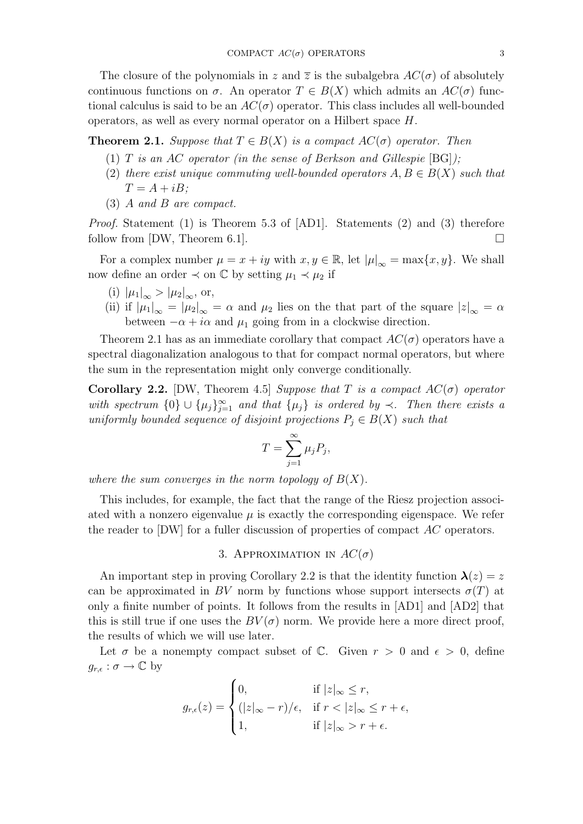The closure of the polynomials in z and  $\overline{z}$  is the subalgebra  $AC(\sigma)$  of absolutely continuous functions on  $\sigma$ . An operator  $T \in B(X)$  which admits an  $AC(\sigma)$  functional calculus is said to be an  $AC(\sigma)$  operator. This class includes all well-bounded operators, as well as every normal operator on a Hilbert space H.

**Theorem 2.1.** Suppose that  $T \in B(X)$  is a compact  $AC(\sigma)$  operator. Then

- (1) T is an AC operator (in the sense of Berkson and Gillespie  $[BG]$ );
- (2) there exist unique commuting well-bounded operators  $A, B \in B(X)$  such that  $T = A + iB;$
- (3) A and B are compact.

Proof. Statement (1) is Theorem 5.3 of [AD1]. Statements (2) and (3) therefore follow from [DW, Theorem 6.1].

For a complex number  $\mu = x + iy$  with  $x, y \in \mathbb{R}$ , let  $|\mu|_{\infty} = \max\{x, y\}$ . We shall now define an order  $\prec$  on  $\mathbb C$  by setting  $\mu_1 \prec \mu_2$  if

- (i)  $|\mu_1|_{\infty} > |\mu_2|_{\infty}$ , or,
- (ii) if  $|\mu_1|_{\infty} = |\mu_2|_{\infty} = \alpha$  and  $\mu_2$  lies on the that part of the square  $|z|_{\infty} = \alpha$ between  $-\alpha + i\alpha$  and  $\mu_1$  going from in a clockwise direction.

Theorem 2.1 has as an immediate corollary that compact  $AC(\sigma)$  operators have a spectral diagonalization analogous to that for compact normal operators, but where the sum in the representation might only converge conditionally.

**Corollary 2.2.** [DW, Theorem 4.5] Suppose that T is a compact  $AC(\sigma)$  operator with spectrum  $\{0\} \cup \{\mu_j\}_{j=1}^{\infty}$  and that  $\{\mu_j\}$  is ordered by  $\prec$ . Then there exists a uniformly bounded sequence of disjoint projections  $P_i \in B(X)$  such that

$$
T = \sum_{j=1}^{\infty} \mu_j P_j,
$$

where the sum converges in the norm topology of  $B(X)$ .

This includes, for example, the fact that the range of the Riesz projection associated with a nonzero eigenvalue  $\mu$  is exactly the corresponding eigenspace. We refer the reader to [DW] for a fuller discussion of properties of compact AC operators.

3. APPROXIMATION IN  $AC(\sigma)$ 

An important step in proving Corollary 2.2 is that the identity function  $\lambda(z) = z$ can be approximated in BV norm by functions whose support intersects  $\sigma(T)$  at only a finite number of points. It follows from the results in [AD1] and [AD2] that this is still true if one uses the  $BV(\sigma)$  norm. We provide here a more direct proof, the results of which we will use later.

Let  $\sigma$  be a nonempty compact subset of C. Given  $r > 0$  and  $\epsilon > 0$ , define  $g_{r,\epsilon} : \sigma \to \mathbb{C}$  by

$$
g_{r,\epsilon}(z) = \begin{cases} 0, & \text{if } |z|_{\infty} \le r, \\ (|z|_{\infty} - r)/\epsilon, & \text{if } r < |z|_{\infty} \le r + \epsilon, \\ 1, & \text{if } |z|_{\infty} > r + \epsilon. \end{cases}
$$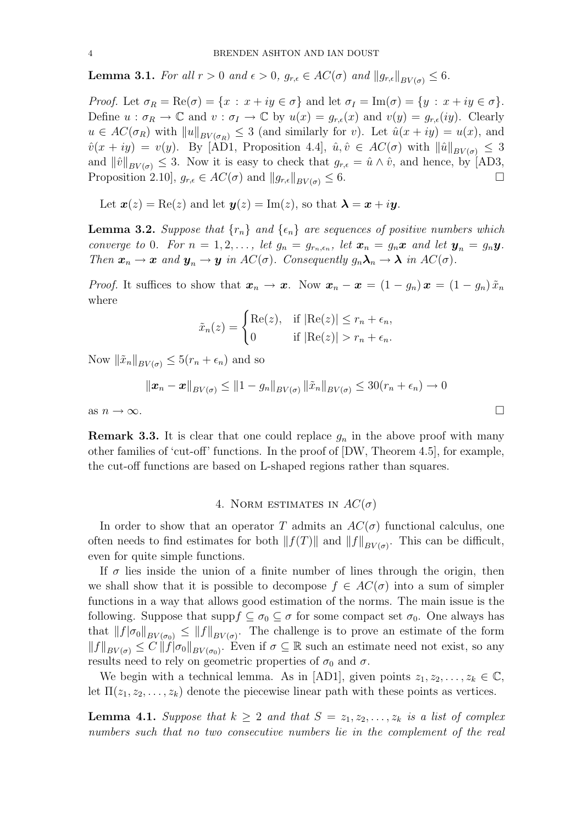**Lemma 3.1.** For all  $r > 0$  and  $\epsilon > 0$ ,  $g_{r,\epsilon} \in AC(\sigma)$  and  $||g_{r,\epsilon}||_{BV(\sigma)} \leq 6$ .

Proof. Let  $\sigma_R = \text{Re}(\sigma) = \{x : x + iy \in \sigma\}$  and let  $\sigma_I = \text{Im}(\sigma) = \{y : x + iy \in \sigma\}.$ Define  $u : \sigma_R \to \mathbb{C}$  and  $v : \sigma_I \to \mathbb{C}$  by  $u(x) = g_{r,\epsilon}(x)$  and  $v(y) = g_{r,\epsilon}(iy)$ . Clearly  $u \in AC(\sigma_R)$  with  $||u||_{BV(\sigma_R)} \leq 3$  (and similarly for v). Let  $\hat{u}(x + iy) = u(x)$ , and  $\hat{v}(x + iy) = v(y)$ . By [AD1, Proposition 4.4],  $\hat{u}, \hat{v} \in AC(\sigma)$  with  $\|\hat{u}\|_{BV(\sigma)} \leq 3$ and  $\|\hat{v}\|_{BV(\sigma)} \leq 3$ . Now it is easy to check that  $g_{r,\epsilon} = \hat{u} \wedge \hat{v}$ , and hence, by [AD3, Proposition 2.10],  $g_{r,\epsilon} \in AC(\sigma)$  and  $||g_{r,\epsilon}||_{BV(\sigma)} \leq 6$ .

Let 
$$
\boldsymbol{x}(z) = \text{Re}(z)
$$
 and let  $\boldsymbol{y}(z) = \text{Im}(z)$ , so that  $\boldsymbol{\lambda} = \boldsymbol{x} + i\boldsymbol{y}$ .

**Lemma 3.2.** Suppose that  $\{r_n\}$  and  $\{\epsilon_n\}$  are sequences of positive numbers which converge to 0. For  $n = 1, 2, \ldots$ , let  $g_n = g_{r_n, \epsilon_n}$ , let  $x_n = g_n x$  and let  $y_n = g_n y$ . Then  $x_n \to x$  and  $y_n \to y$  in  $AC(\sigma)$ . Consequently  $g_n \lambda_n \to \lambda$  in  $AC(\sigma)$ .

*Proof.* It suffices to show that  $x_n \to x$ . Now  $x_n - x = (1 - g_n)x = (1 - g_n)\tilde{x}_n$ where

$$
\tilde{x}_n(z) = \begin{cases} \text{Re}(z), & \text{if } |\text{Re}(z)| \le r_n + \epsilon_n, \\ 0 & \text{if } |\text{Re}(z)| > r_n + \epsilon_n. \end{cases}
$$

Now  $\|\tilde{x}_n\|_{BV(\sigma)} \leq 5(r_n + \epsilon_n)$  and so

$$
\|\boldsymbol{x}_n-\boldsymbol{x}\|_{BV(\sigma)} \leq \|1-g_n\|_{BV(\sigma)} \|\tilde{x}_n\|_{BV(\sigma)} \leq 30(r_n+\epsilon_n) \to 0
$$

as  $n \to \infty$ .

**Remark 3.3.** It is clear that one could replace  $g_n$  in the above proof with many other families of 'cut-off' functions. In the proof of [DW, Theorem 4.5], for example, the cut-off functions are based on L-shaped regions rather than squares.

#### 4. NORM ESTIMATES IN  $AC(\sigma)$

In order to show that an operator T admits an  $AC(\sigma)$  functional calculus, one often needs to find estimates for both  $|| f(T) ||$  and  $|| f ||_{BV(\sigma)}$ . This can be difficult, even for quite simple functions.

If  $\sigma$  lies inside the union of a finite number of lines through the origin, then we shall show that it is possible to decompose  $f \in AC(\sigma)$  into a sum of simpler functions in a way that allows good estimation of the norms. The main issue is the following. Suppose that supp $f \subseteq \sigma_0 \subseteq \sigma$  for some compact set  $\sigma_0$ . One always has that  $||f|\sigma_0||_{BV(\sigma_0)} \leq ||f||_{BV(\sigma)}$ . The challenge is to prove an estimate of the form  $||f||_{BV(\sigma)} \leq C ||f| \sigma_0||_{BV(\sigma_0)}$ . Even if  $\sigma \subseteq \mathbb{R}$  such an estimate need not exist, so any results need to rely on geometric properties of  $\sigma_0$  and  $\sigma$ .

We begin with a technical lemma. As in [AD1], given points  $z_1, z_2, \ldots, z_k \in \mathbb{C}$ , let  $\Pi(z_1, z_2, \ldots, z_k)$  denote the piecewise linear path with these points as vertices.

**Lemma 4.1.** Suppose that  $k \geq 2$  and that  $S = z_1, z_2, \ldots, z_k$  is a list of complex numbers such that no two consecutive numbers lie in the complement of the real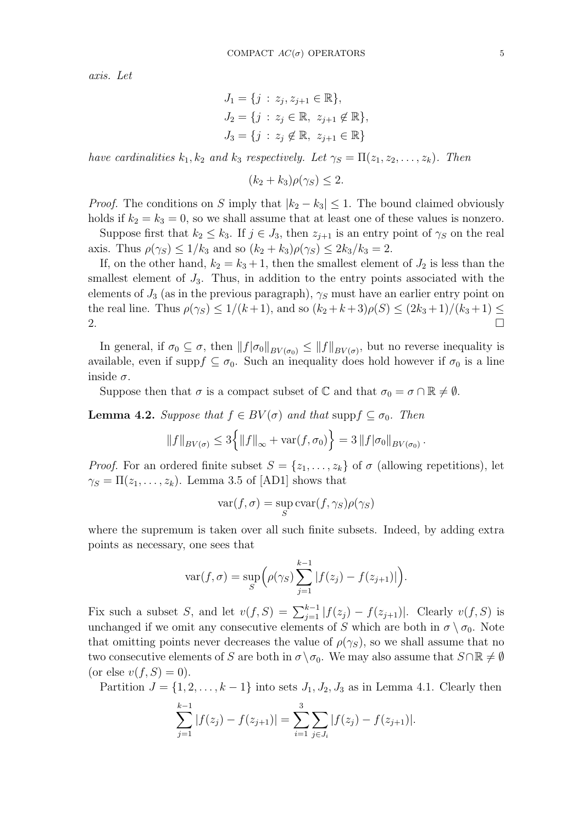axis. Let

$$
J_1 = \{ j : z_j, z_{j+1} \in \mathbb{R} \},
$$
  
\n
$$
J_2 = \{ j : z_j \in \mathbb{R}, z_{j+1} \notin \mathbb{R} \},
$$
  
\n
$$
J_3 = \{ j : z_j \notin \mathbb{R}, z_{j+1} \in \mathbb{R} \}
$$

have cardinalities  $k_1, k_2$  and  $k_3$  respectively. Let  $\gamma_S = \Pi(z_1, z_2, \ldots, z_k)$ . Then

 $(k_2 + k_3)\rho(\gamma_S) < 2.$ 

*Proof.* The conditions on S imply that  $|k_2 - k_3| \leq 1$ . The bound claimed obviously holds if  $k_2 = k_3 = 0$ , so we shall assume that at least one of these values is nonzero.

Suppose first that  $k_2 \leq k_3$ . If  $j \in J_3$ , then  $z_{j+1}$  is an entry point of  $\gamma_S$  on the real axis. Thus  $\rho(\gamma_S) \leq 1/k_3$  and so  $(k_2 + k_3)\rho(\gamma_S) \leq 2k_3/k_3 = 2$ .

If, on the other hand,  $k_2 = k_3 + 1$ , then the smallest element of  $J_2$  is less than the smallest element of  $J_3$ . Thus, in addition to the entry points associated with the elements of  $J_3$  (as in the previous paragraph),  $\gamma_S$  must have an earlier entry point on the real line. Thus  $\rho(\gamma_S) \le 1/(k+1)$ , and so  $(k_2 + k + 3)\rho(S) \le (2k_3 + 1)/(k_3 + 1) \le$ 2.

In general, if  $\sigma_0 \subseteq \sigma$ , then  $||f|\sigma_0||_{BV(\sigma_0)} \leq ||f||_{BV(\sigma)}$ , but no reverse inequality is available, even if supp $f \subseteq \sigma_0$ . Such an inequality does hold however if  $\sigma_0$  is a line inside  $\sigma$ .

Suppose then that  $\sigma$  is a compact subset of  $\mathbb C$  and that  $\sigma_0 = \sigma \cap \mathbb R \neq \emptyset$ .

**Lemma 4.2.** Suppose that  $f \in BV(\sigma)$  and that supp $f \subseteq \sigma_0$ . Then

$$
||f||_{BV(\sigma)} \leq 3\Big\{ ||f||_{\infty} + \text{var}(f, \sigma_0) \Big\} = 3 ||f|\sigma_0||_{BV(\sigma_0)}.
$$

*Proof.* For an ordered finite subset  $S = \{z_1, \ldots, z_k\}$  of  $\sigma$  (allowing repetitions), let  $\gamma_S = \Pi(z_1, \ldots, z_k)$ . Lemma 3.5 of [AD1] shows that

$$
\text{var}(f, \sigma) = \sup_{S} \text{cvar}(f, \gamma_S) \rho(\gamma_S)
$$

where the supremum is taken over all such finite subsets. Indeed, by adding extra points as necessary, one sees that

$$
\text{var}(f,\sigma) = \sup_{S} \left( \rho(\gamma_S) \sum_{j=1}^{k-1} |f(z_j) - f(z_{j+1})| \right).
$$

Fix such a subset S, and let  $v(f, S) = \sum_{j=1}^{k-1} |f(z_j) - f(z_{j+1})|$ . Clearly  $v(f, S)$  is unchanged if we omit any consecutive elements of S which are both in  $\sigma \setminus \sigma_0$ . Note that omitting points never decreases the value of  $\rho(\gamma_S)$ , so we shall assume that no two consecutive elements of S are both in  $\sigma \setminus \sigma_0$ . We may also assume that  $S \cap \mathbb{R} \neq \emptyset$ (or else  $v(f, S) = 0$ ).

Partition  $J = \{1, 2, \ldots, k-1\}$  into sets  $J_1, J_2, J_3$  as in Lemma 4.1. Clearly then

$$
\sum_{j=1}^{k-1} |f(z_j) - f(z_{j+1})| = \sum_{i=1}^{3} \sum_{j \in J_i} |f(z_j) - f(z_{j+1})|.
$$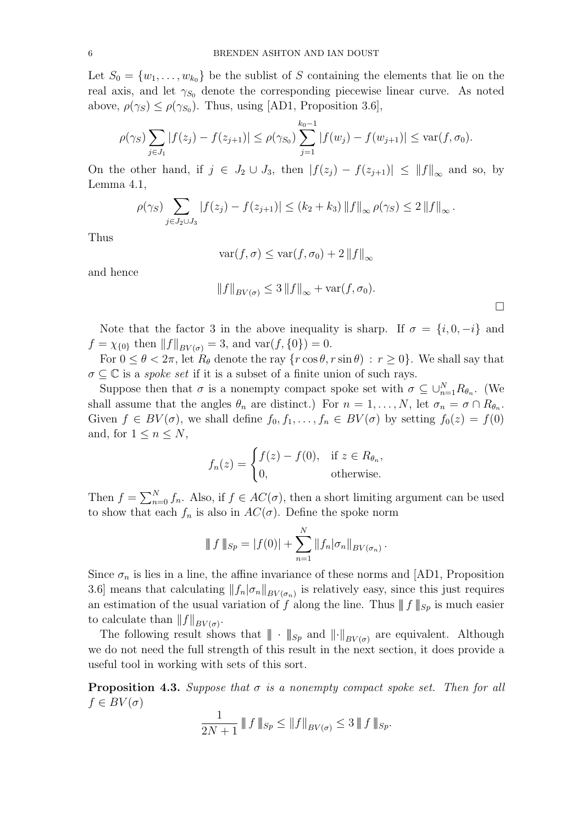Let  $S_0 = \{w_1, \ldots, w_{k_0}\}\$ be the sublist of S containing the elements that lie on the real axis, and let  $\gamma_{S_0}$  denote the corresponding piecewise linear curve. As noted above,  $\rho(\gamma_S) \leq \rho(\gamma_{S_0})$ . Thus, using [AD1, Proposition 3.6],

$$
\rho(\gamma_S) \sum_{j \in J_1} |f(z_j) - f(z_{j+1})| \le \rho(\gamma_{S_0}) \sum_{j=1}^{k_0 - 1} |f(w_j) - f(w_{j+1})| \le \text{var}(f, \sigma_0).
$$

On the other hand, if  $j \in J_2 \cup J_3$ , then  $|f(z_j) - f(z_{j+1})| \leq ||f||_{\infty}$  and so, by Lemma 4.1,

$$
\rho(\gamma_S) \sum_{j \in J_2 \cup J_3} |f(z_j) - f(z_{j+1})| \le (k_2 + k_3) \|f\|_{\infty} \rho(\gamma_S) \le 2 \|f\|_{\infty}.
$$

Thus

$$
\text{var}(f,\sigma) \le \text{var}(f,\sigma_0) + 2 \left\| f \right\|_{\infty}
$$

and hence

$$
||f||_{BV(\sigma)} \leq 3 ||f||_{\infty} + \text{var}(f, \sigma_0).
$$

 $\Box$ 

Note that the factor 3 in the above inequality is sharp. If  $\sigma = \{i, 0, -i\}$  and  $f = \chi_{\{0\}}$  then  $||f||_{BV(\sigma)} = 3$ , and var $(f, \{0\}) = 0$ .

For  $0 \le \theta < 2\pi$ , let  $R_{\theta}$  denote the ray  $\{r \cos \theta, r \sin \theta\} : r \ge 0\}$ . We shall say that  $\sigma \subseteq \mathbb{C}$  is a *spoke set* if it is a subset of a finite union of such rays.

Suppose then that  $\sigma$  is a nonempty compact spoke set with  $\sigma \subseteq \bigcup_{n=1}^{N} R_{\theta_n}$ . (We shall assume that the angles  $\theta_n$  are distinct.) For  $n = 1, ..., N$ , let  $\sigma_n = \sigma \cap R_{\theta_n}$ . Given  $f \in BV(\sigma)$ , we shall define  $f_0, f_1, \ldots, f_n \in BV(\sigma)$  by setting  $f_0(z) = f(0)$ and, for  $1 \leq n \leq N$ ,

$$
f_n(z) = \begin{cases} f(z) - f(0), & \text{if } z \in R_{\theta_n}, \\ 0, & \text{otherwise.} \end{cases}
$$

Then  $f = \sum_{n=0}^{N} f_n$ . Also, if  $f \in AC(\sigma)$ , then a short limiting argument can be used to show that each  $f_n$  is also in  $AC(\sigma)$ . Define the spoke norm

$$
\| f \|_{Sp} = |f(0)| + \sum_{n=1}^N \| f_n | \sigma_n \|_{BV(\sigma_n)}.
$$

Since  $\sigma_n$  is lies in a line, the affine invariance of these norms and [AD1, Proposition 3.6] means that calculating  $||f_n|\sigma_n||_{BV(\sigma_n)}$  is relatively easy, since this just requires an estimation of the usual variation of f along the line. Thus  $|| f ||_{Sp}$  is much easier to calculate than  $||f||_{BV(\sigma)}$ .

The following result shows that  $|| \cdot ||_{S_p}$  and  $|| \cdot ||_{BV(\sigma)}$  are equivalent. Although we do not need the full strength of this result in the next section, it does provide a useful tool in working with sets of this sort.

**Proposition 4.3.** Suppose that  $\sigma$  is a nonempty compact spoke set. Then for all  $f \in BV(\sigma)$ 

$$
\frac{1}{2N+1} \parallel f \parallel_{Sp} \leq ||f||_{BV(\sigma)} \leq 3 \parallel f \parallel_{Sp}.
$$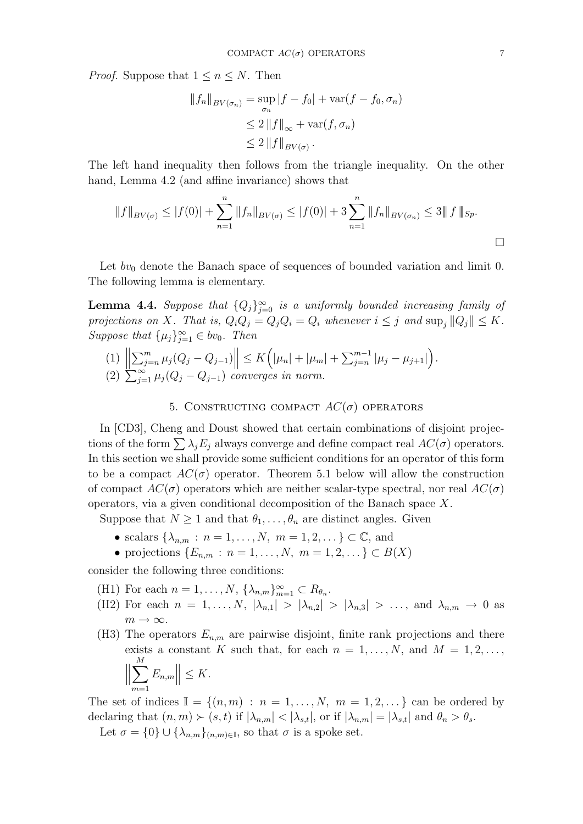*Proof.* Suppose that  $1 \leq n \leq N$ . Then

$$
||f_n||_{BV(\sigma_n)} = \sup_{\sigma_n} |f - f_0| + \text{var}(f - f_0, \sigma_n)
$$
  
\n
$$
\leq 2 ||f||_{\infty} + \text{var}(f, \sigma_n)
$$
  
\n
$$
\leq 2 ||f||_{BV(\sigma)}.
$$

The left hand inequality then follows from the triangle inequality. On the other hand, Lemma 4.2 (and affine invariance) shows that

$$
||f||_{BV(\sigma)} \le |f(0)| + \sum_{n=1}^{n} ||f_n||_{BV(\sigma)} \le |f(0)| + 3 \sum_{n=1}^{n} ||f_n||_{BV(\sigma_n)} \le 3 ||f||_{Sp}.
$$

Let  $bv_0$  denote the Banach space of sequences of bounded variation and limit 0. The following lemma is elementary.

**Lemma 4.4.** Suppose that  ${Q_j}_{j=0}^{\infty}$  is a uniformly bounded increasing family of projections on X. That is,  $Q_iQ_j = Q_jQ_i = Q_i$  whenever  $i \leq j$  and  $\sup_j ||Q_j|| \leq K$ . Suppose that  $\{\mu_j\}_{j=1}^{\infty} \in bv_0$ . Then

$$
(1) \left\| \sum_{j=n}^{m} \mu_j (Q_j - Q_{j-1}) \right\| \le K \left( |\mu_n| + |\mu_m| + \sum_{j=n}^{m-1} |\mu_j - \mu_{j+1}| \right).
$$
  

$$
(2) \sum_{j=1}^{\infty} \mu_j (Q_j - Q_{j-1})
$$
 converges in norm.

# 5. CONSTRUCTING COMPACT  $AC(\sigma)$  OPERATORS

In [CD3], Cheng and Doust showed that certain combinations of disjoint projections of the form  $\sum \lambda_i E_i$  always converge and define compact real  $AC(\sigma)$  operators. In this section we shall provide some sufficient conditions for an operator of this form to be a compact  $AC(\sigma)$  operator. Theorem 5.1 below will allow the construction of compact  $AC(\sigma)$  operators which are neither scalar-type spectral, nor real  $AC(\sigma)$ operators, via a given conditional decomposition of the Banach space X.

Suppose that  $N \geq 1$  and that  $\theta_1, \ldots, \theta_n$  are distinct angles. Given

- scalars  $\{\lambda_{n,m} : n = 1, \ldots, N, m = 1, 2, \ldots\} \subset \mathbb{C}$ , and
- projections  $\{E_{n,m} : n = 1, ..., N, m = 1, 2, ...\} \subset B(X)$

consider the following three conditions:

- (H1) For each  $n = 1, ..., N$ ,  $\{\lambda_{n,m}\}_{m=1}^{\infty} \subset R_{\theta_n}$ .
- (H2) For each  $n = 1, \ldots, N$ ,  $|\lambda_{n,1}| > |\lambda_{n,2}| > |\lambda_{n,3}| > \ldots$ , and  $\lambda_{n,m} \to 0$  as  $m \to \infty$ .
- (H3) The operators  $E_{n,m}$  are pairwise disjoint, finite rank projections and there exists a constant K such that, for each  $n = 1, \ldots, N$ , and  $M = 1, 2, \ldots$ ,  $\sum$ M  $\parallel$

$$
\left\|\sum_{m=1} E_{n,m}\right\| \leq K.
$$

The set of indices  $\mathbb{I} = \{(n, m) : n = 1, \ldots, N, m = 1, 2, \ldots\}$  can be ordered by declaring that  $(n, m) \succ (s, t)$  if  $|\lambda_{n,m}| < |\lambda_{s,t}|$ , or if  $|\lambda_{n,m}| = |\lambda_{s,t}|$  and  $\theta_n > \theta_s$ .

Let  $\sigma = \{0\} \cup \{\lambda_{n,m}\}_{(n,m)\in\mathbb{I}},$  so that  $\sigma$  is a spoke set.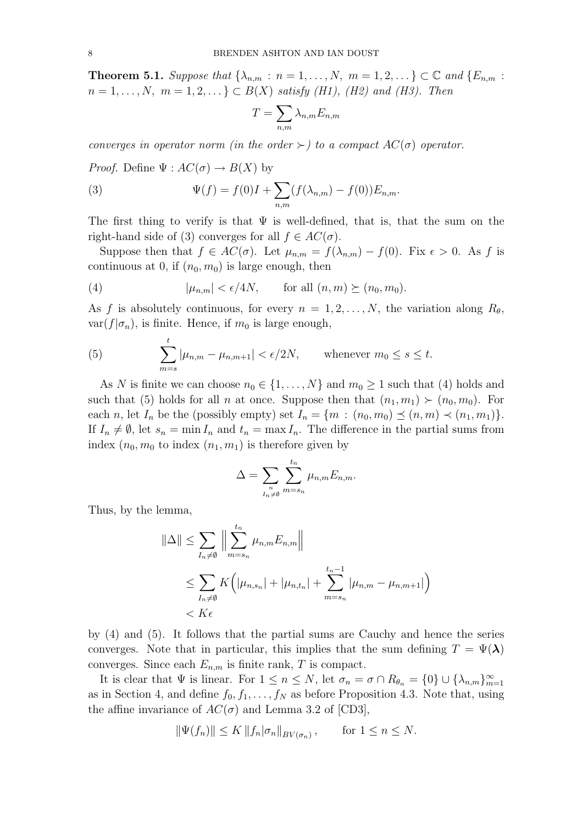**Theorem 5.1.** Suppose that  $\{\lambda_{n,m} : n = 1, \ldots, N, m = 1, 2, \ldots\} \subset \mathbb{C}$  and  $\{E_{n,m} : n = 1, \ldots, N, m = 1, 2, \ldots\}$  $n = 1, ..., N, m = 1, 2, ... \in B(X)$  satisfy (H1), (H2) and (H3). Then

$$
T = \sum_{n,m} \lambda_{n,m} E_{n,m}
$$

converges in operator norm (in the order  $\succ$ ) to a compact  $AC(\sigma)$  operator.

*Proof.* Define  $\Psi: AC(\sigma) \to B(X)$  by

(3) 
$$
\Psi(f) = f(0)I + \sum_{n,m} (f(\lambda_{n,m}) - f(0))E_{n,m}.
$$

The first thing to verify is that  $\Psi$  is well-defined, that is, that the sum on the right-hand side of (3) converges for all  $f \in AC(\sigma)$ .

Suppose then that  $f \in AC(\sigma)$ . Let  $\mu_{n,m} = f(\lambda_{n,m}) - f(0)$ . Fix  $\epsilon > 0$ . As f is continuous at 0, if  $(n_0, m_0)$  is large enough, then

(4) 
$$
|\mu_{n,m}| < \epsilon/4N, \quad \text{for all } (n,m) \ge (n_0, m_0).
$$

As f is absolutely continuous, for every  $n = 1, 2, \ldots, N$ , the variation along  $R_{\theta}$ ,  $var(f|\sigma_n)$ , is finite. Hence, if  $m_0$  is large enough,

(5) 
$$
\sum_{m=s}^{t} |\mu_{n,m} - \mu_{n,m+1}| < \epsilon/2N, \qquad \text{whenever } m_0 \le s \le t.
$$

As N is finite we can choose  $n_0 \in \{1, ..., N\}$  and  $m_0 \geq 1$  such that (4) holds and such that (5) holds for all n at once. Suppose then that  $(n_1, m_1) \succ (n_0, m_0)$ . For each n, let  $I_n$  be the (possibly empty) set  $I_n = \{m : (n_0, m_0) \preceq (n, m) \prec (n_1, m_1)\}.$ If  $I_n \neq \emptyset$ , let  $s_n = \min I_n$  and  $t_n = \max I_n$ . The difference in the partial sums from index  $(n_0, m_0$  to index  $(n_1, m_1)$  is therefore given by

$$
\Delta = \sum_{\substack{n \ n \neq \emptyset}} \sum_{m=s_n}^{t_n} \mu_{n,m} E_{n,m}.
$$

Thus, by the lemma,

$$
\|\Delta\| \leq \sum_{I_n \neq \emptyset} \left\| \sum_{m=s_n}^{t_n} \mu_{n,m} E_{n,m} \right\|
$$
  

$$
\leq \sum_{I_n \neq \emptyset} K \left( |\mu_{n,s_n}| + |\mu_{n,t_n}| + \sum_{m=s_n}^{t_n - 1} |\mu_{n,m} - \mu_{n,m+1}| \right)
$$
  

$$
< K\epsilon
$$

by (4) and (5). It follows that the partial sums are Cauchy and hence the series converges. Note that in particular, this implies that the sum defining  $T = \Psi(\lambda)$ converges. Since each  $E_{n,m}$  is finite rank, T is compact.

It is clear that  $\Psi$  is linear. For  $1 \leq n \leq N$ , let  $\sigma_n = \sigma \cap R_{\theta_n} = \{0\} \cup {\{\lambda_{n,m}\}}_{m=1}^{\infty}$ as in Section 4, and define  $f_0, f_1, \ldots, f_N$  as before Proposition 4.3. Note that, using the affine invariance of  $AC(\sigma)$  and Lemma 3.2 of [CD3],

$$
\|\Psi(f_n)\| \le K \|f_n|\sigma_n\|_{BV(\sigma_n)}, \quad \text{for } 1 \le n \le N.
$$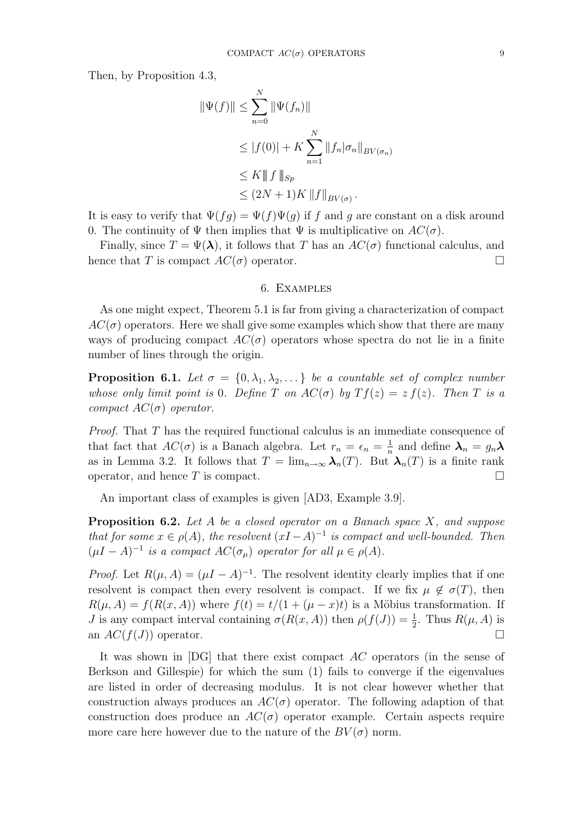Then, by Proposition 4.3,

$$
\|\Psi(f)\| \le \sum_{n=0}^{N} \|\Psi(f_n)\|
$$
  
\n
$$
\le |f(0)| + K \sum_{n=1}^{N} \|f_n|\sigma_n\|_{BV(\sigma_n)}
$$
  
\n
$$
\le K \|f\|_{Sp}
$$
  
\n
$$
\le (2N+1)K \|f\|_{BV(\sigma)}.
$$

It is easy to verify that  $\Psi(fq) = \Psi(f)\Psi(q)$  if f and q are constant on a disk around 0. The continuity of  $\Psi$  then implies that  $\Psi$  is multiplicative on  $AC(\sigma)$ .

Finally, since  $T = \Psi(\lambda)$ , it follows that T has an  $AC(\sigma)$  functional calculus, and hence that T is compact  $AC(\sigma)$  operator.

#### 6. Examples

As one might expect, Theorem 5.1 is far from giving a characterization of compact  $AC(\sigma)$  operators. Here we shall give some examples which show that there are many ways of producing compact  $AC(\sigma)$  operators whose spectra do not lie in a finite number of lines through the origin.

**Proposition 6.1.** Let  $\sigma = \{0, \lambda_1, \lambda_2, \dots\}$  be a countable set of complex number whose only limit point is 0. Define T on  $AC(\sigma)$  by  $Tf(z) = z f(z)$ . Then T is a compact  $AC(\sigma)$  operator.

Proof. That T has the required functional calculus is an immediate consequence of that fact that  $AC(\sigma)$  is a Banach algebra. Let  $r_n = \epsilon_n = \frac{1}{n}$  $\frac{1}{n}$  and define  $\lambda_n = g_n \lambda$ as in Lemma 3.2. It follows that  $T = \lim_{n\to\infty} \lambda_n(T)$ . But  $\lambda_n(T)$  is a finite rank operator, and hence  $T$  is compact.

An important class of examples is given [AD3, Example 3.9].

**Proposition 6.2.** Let A be a closed operator on a Banach space  $X$ , and suppose that for some  $x \in \rho(A)$ , the resolvent  $(xI-A)^{-1}$  is compact and well-bounded. Then  $(\mu I - A)^{-1}$  is a compact  $AC(\sigma_{\mu})$  operator for all  $\mu \in \rho(A)$ .

*Proof.* Let  $R(\mu, A) = (\mu I - A)^{-1}$ . The resolvent identity clearly implies that if one resolvent is compact then every resolvent is compact. If we fix  $\mu \notin \sigma(T)$ , then  $R(\mu, A) = f(R(x, A))$  where  $f(t) = t/(1 + (\mu - x)t)$  is a Möbius transformation. If *J* is any compact interval containing  $\sigma(R(x, A))$  then  $\rho(f(J)) = \frac{1}{2}$ . Thus  $R(\mu, A)$  is an  $AC(f(J))$  operator.

It was shown in [DG] that there exist compact AC operators (in the sense of Berkson and Gillespie) for which the sum (1) fails to converge if the eigenvalues are listed in order of decreasing modulus. It is not clear however whether that construction always produces an  $AC(\sigma)$  operator. The following adaption of that construction does produce an  $AC(\sigma)$  operator example. Certain aspects require more care here however due to the nature of the  $BV(\sigma)$  norm.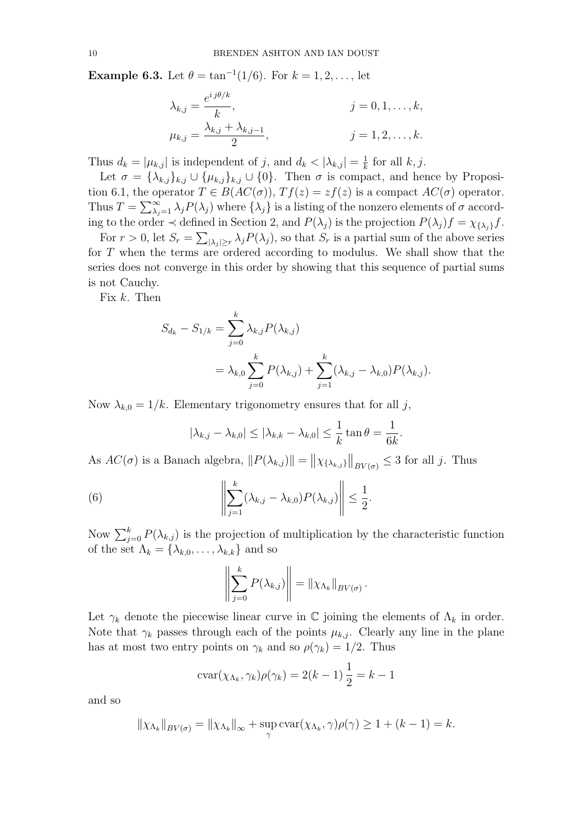**Example 6.3.** Let  $\theta = \tan^{-1}(1/6)$ . For  $k = 1, 2, ...,$  let

$$
\lambda_{k,j} = \frac{e^{ij\theta/k}}{k}, \qquad j = 0, 1, \dots, k,
$$
  

$$
\mu_{k,j} = \frac{\lambda_{k,j} + \lambda_{k,j-1}}{2}, \qquad j = 1, 2, \dots, k.
$$

Thus  $d_k = |\mu_{k,j}|$  is independent of j, and  $d_k < |\lambda_{k,j}| = \frac{1}{k}$  $\frac{1}{k}$  for all  $k, j$ .

Let  $\sigma = {\lambda_{k,j}}_{k,j} \cup {\mu_{k,j}}_{k,j} \cup {0}$ . Then  $\sigma$  is compact, and hence by Proposition 6.1, the operator  $T \in B(AC(\sigma))$ ,  $Tf(z) = zf(z)$  is a compact  $AC(\sigma)$  operator. Thus  $T = \sum_{\lambda_j=1}^{\infty} \lambda_j P(\lambda_j)$  where  $\{\lambda_j\}$  is a listing of the nonzero elements of  $\sigma$  according to the order  $\prec$  defined in Section 2, and  $P(\lambda_j)$  is the projection  $P(\lambda_j)f = \chi_{\{\lambda_j\}}f$ .

For  $r > 0$ , let  $S_r = \sum_{|\lambda_j| \geq r} \lambda_j P(\lambda_j)$ , so that  $S_r$  is a partial sum of the above series for T when the terms are ordered according to modulus. We shall show that the series does not converge in this order by showing that this sequence of partial sums is not Cauchy.

Fix  $k$ . Then

$$
S_{d_k} - S_{1/k} = \sum_{j=0}^k \lambda_{k,j} P(\lambda_{k,j})
$$
  
=  $\lambda_{k,0} \sum_{j=0}^k P(\lambda_{k,j}) + \sum_{j=1}^k (\lambda_{k,j} - \lambda_{k,0}) P(\lambda_{k,j}).$ 

Now  $\lambda_{k,0} = 1/k$ . Elementary trigonometry ensures that for all j,

$$
|\lambda_{k,j} - \lambda_{k,0}| \le |\lambda_{k,k} - \lambda_{k,0}| \le \frac{1}{k} \tan \theta = \frac{1}{6k}
$$

.

As  $AC(\sigma)$  is a Banach algebra,  $||P(\lambda_{k,j})|| = ||\chi_{\{\lambda_{k,j}\}}||_{BV(\sigma)} \leq 3$  for all j. Thus

(6) 
$$
\left\| \sum_{j=1}^{k} (\lambda_{k,j} - \lambda_{k,0}) P(\lambda_{k,j}) \right\| \leq \frac{1}{2}.
$$

Now  $\sum_{j=0}^{k} P(\lambda_{k,j})$  is the projection of multiplication by the characteristic function of the set  $\Lambda_k = \{\lambda_{k,0}, \ldots, \lambda_{k,k}\}\$ and so

$$
\left\| \sum_{j=0}^k P(\lambda_{k,j}) \right\| = \left\| \chi_{\Lambda_k} \right\|_{BV(\sigma)}.
$$

Let  $\gamma_k$  denote the piecewise linear curve in  $\mathbb C$  joining the elements of  $\Lambda_k$  in order. Note that  $\gamma_k$  passes through each of the points  $\mu_{k,i}$ . Clearly any line in the plane has at most two entry points on  $\gamma_k$  and so  $\rho(\gamma_k) = 1/2$ . Thus

$$
cvar(\chi_{\Lambda_k}, \gamma_k)\rho(\gamma_k) = 2(k-1)\frac{1}{2} = k-1
$$

and so

$$
\|\chi_{\Lambda_k}\|_{BV(\sigma)} = \|\chi_{\Lambda_k}\|_{\infty} + \sup_{\gamma} \text{cvar}(\chi_{\Lambda_k}, \gamma)\rho(\gamma) \ge 1 + (k-1) = k.
$$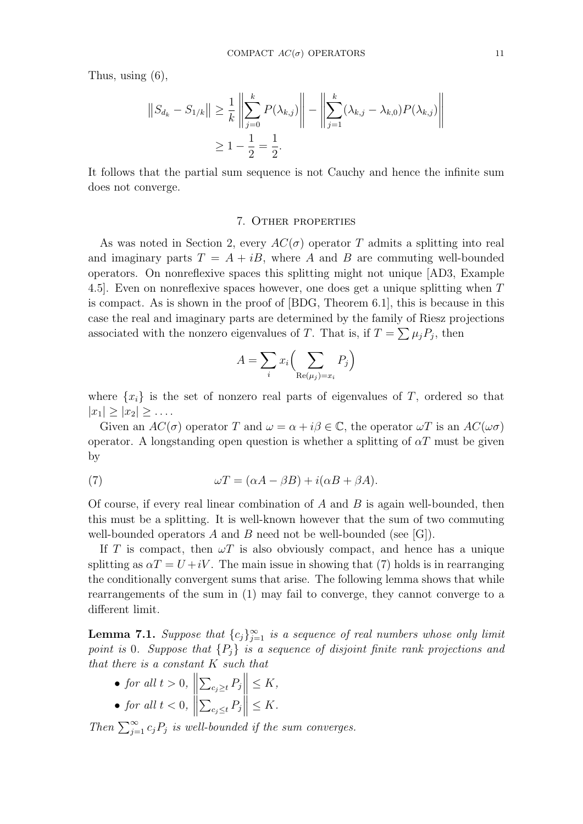Thus, using (6),

$$
||S_{d_k} - S_{1/k}|| \ge \frac{1}{k} \left\| \sum_{j=0}^k P(\lambda_{k,j}) \right\| - \left\| \sum_{j=1}^k (\lambda_{k,j} - \lambda_{k,0}) P(\lambda_{k,j}) \right\|
$$
  
 
$$
\ge 1 - \frac{1}{2} = \frac{1}{2}.
$$

It follows that the partial sum sequence is not Cauchy and hence the infinite sum does not converge.

## 7. Other properties

As was noted in Section 2, every  $AC(\sigma)$  operator T admits a splitting into real and imaginary parts  $T = A + iB$ , where A and B are commuting well-bounded operators. On nonreflexive spaces this splitting might not unique [AD3, Example 4.5]. Even on nonreflexive spaces however, one does get a unique splitting when T is compact. As is shown in the proof of [BDG, Theorem 6.1], this is because in this case the real and imaginary parts are determined by the family of Riesz projections associated with the nonzero eigenvalues of T. That is, if  $T = \sum \mu_j P_j$ , then

$$
A = \sum_{i} x_i \left( \sum_{\text{Re}(\mu_j) = x_i} P_j \right)
$$

where  $\{x_i\}$  is the set of nonzero real parts of eigenvalues of T, ordered so that  $|x_1|\geq |x_2|\geq \ldots$ 

Given an  $AC(\sigma)$  operator T and  $\omega = \alpha + i\beta \in \mathbb{C}$ , the operator  $\omega T$  is an  $AC(\omega\sigma)$ operator. A longstanding open question is whether a splitting of  $\alpha T$  must be given by

(7) 
$$
\omega T = (\alpha A - \beta B) + i(\alpha B + \beta A).
$$

Of course, if every real linear combination of  $A$  and  $B$  is again well-bounded, then this must be a splitting. It is well-known however that the sum of two commuting well-bounded operators A and B need not be well-bounded (see  $[G]$ ).

If T is compact, then  $\omega T$  is also obviously compact, and hence has a unique splitting as  $\alpha T = U + iV$ . The main issue in showing that (7) holds is in rearranging the conditionally convergent sums that arise. The following lemma shows that while rearrangements of the sum in (1) may fail to converge, they cannot converge to a different limit.

**Lemma 7.1.** Suppose that  ${c_j}_{j=1}^{\infty}$  is a sequence of real numbers whose only limit point is 0. Suppose that  $\{P_i\}$  is a sequence of disjoint finite rank projections and that there is a constant  $K$  such that

• for all  $t > 0$ ,  $\parallel$  $\sum_{c_j\geq t} P_j \Big\| \leq K,$ 

• for all 
$$
t < 0
$$
,  $\left\| \sum_{c_j \leq t} P_j \right\| \leq K$ .

Then  $\sum_{j=1}^{\infty} c_j P_j$  is well-bounded if the sum converges.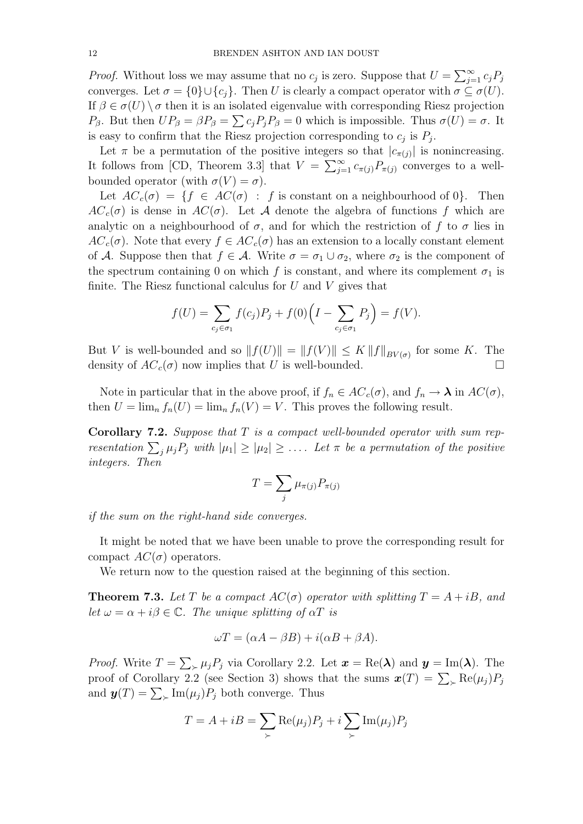*Proof.* Without loss we may assume that no  $c_j$  is zero. Suppose that  $U = \sum_{j=1}^{\infty} c_j P_j$ converges. Let  $\sigma = \{0\} \cup \{c_j\}$ . Then U is clearly a compact operator with  $\sigma \subseteq \sigma(U)$ . If  $\beta \in \sigma(U) \setminus \sigma$  then it is an isolated eigenvalue with corresponding Riesz projection  $P_{\beta}$ . But then  $UP_{\beta} = \beta P_{\beta} = \sum c_j P_j P_{\beta} = 0$  which is impossible. Thus  $\sigma(U) = \sigma$ . It is easy to confirm that the Riesz projection corresponding to  $c_j$  is  $P_j$ .

Let  $\pi$  be a permutation of the positive integers so that  $|c_{\pi(j)}|$  is nonincreasing. It follows from [CD, Theorem 3.3] that  $V = \sum_{j=1}^{\infty} c_{\pi(j)} P_{\pi(j)}$  converges to a wellbounded operator (with  $\sigma(V) = \sigma$ ).

Let  $AC_c(\sigma) = \{f \in AC(\sigma) : f \text{ is constant on a neighbourhood of } 0\}.$  Then  $AC_c(\sigma)$  is dense in  $AC(\sigma)$ . Let A denote the algebra of functions f which are analytic on a neighbourhood of  $\sigma$ , and for which the restriction of f to  $\sigma$  lies in  $AC_c(\sigma)$ . Note that every  $f \in AC_c(\sigma)$  has an extension to a locally constant element of A. Suppose then that  $f \in A$ . Write  $\sigma = \sigma_1 \cup \sigma_2$ , where  $\sigma_2$  is the component of the spectrum containing 0 on which f is constant, and where its complement  $\sigma_1$  is finite. The Riesz functional calculus for  $U$  and  $V$  gives that

$$
f(U) = \sum_{c_j \in \sigma_1} f(c_j)P_j + f(0)\Big(I - \sum_{c_j \in \sigma_1} P_j\Big) = f(V).
$$

But V is well-bounded and so  $||f(U)|| = ||f(V)|| \leq K ||f||_{BV(\sigma)}$  for some K. The density of  $AC_c(\sigma)$  now implies that U is well-bounded.

Note in particular that in the above proof, if  $f_n \in AC_c(\sigma)$ , and  $f_n \to \lambda$  in  $AC(\sigma)$ , then  $U = \lim_{n} f_n(U) = \lim_{n} f_n(V) = V$ . This proves the following result.

**Corollary 7.2.** Suppose that  $T$  is a compact well-bounded operator with sum representation  $\sum_j \mu_j P_j$  with  $|\mu_1| \geq |\mu_2| \geq \ldots$ . Let  $\pi$  be a permutation of the positive integers. Then

$$
T = \sum_{j} \mu_{\pi(j)} P_{\pi(j)}
$$

if the sum on the right-hand side converges.

It might be noted that we have been unable to prove the corresponding result for compact  $AC(\sigma)$  operators.

We return now to the question raised at the beginning of this section.

**Theorem 7.3.** Let T be a compact  $AC(\sigma)$  operator with splitting  $T = A + iB$ , and let  $\omega = \alpha + i\beta \in \mathbb{C}$ . The unique splitting of  $\alpha T$  is

$$
\omega T = (\alpha A - \beta B) + i(\alpha B + \beta A).
$$

*Proof.* Write  $T = \sum_{\succ} \mu_j P_j$  via Corollary 2.2. Let  $\mathbf{x} = \text{Re}(\lambda)$  and  $\mathbf{y} = \text{Im}(\lambda)$ . The proof of Corollary 2.2 (see Section 3) shows that the sums  $\mathbf{x}(T) = \sum_{\succ} \text{Re}(\mu_j) P_j$ and  $\mathbf{y}(T) = \sum_{\succ} \text{Im}(\mu_j) P_j$  both converge. Thus

$$
T = A + iB = \sum_{\succ} \text{Re}(\mu_j) P_j + i \sum_{\succ} \text{Im}(\mu_j) P_j
$$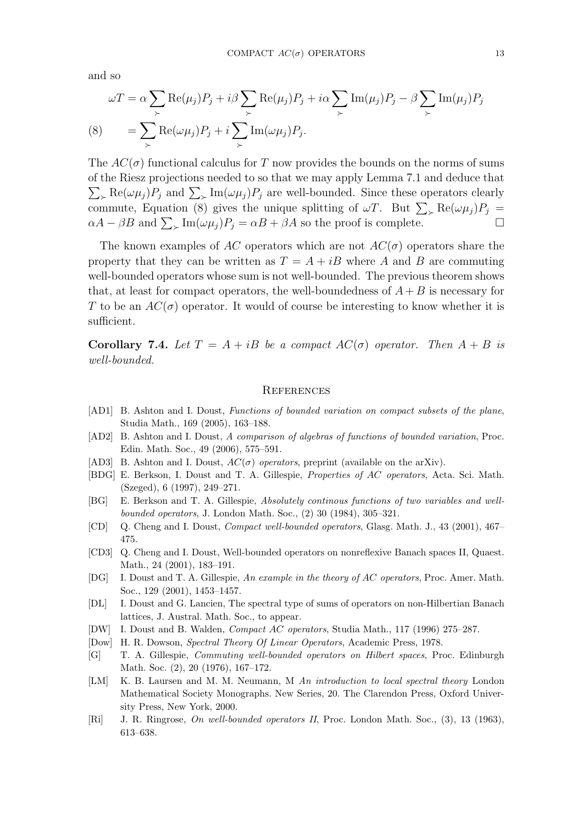and so

$$
\omega T = \alpha \sum_{\succ} \text{Re}(\mu_j) P_j + i\beta \sum_{\succ} \text{Re}(\mu_j) P_j + i\alpha \sum_{\succ} \text{Im}(\mu_j) P_j - \beta \sum_{\succ} \text{Im}(\mu_j) P_j
$$
  
(8) = 
$$
\sum_{\succ} \text{Re}(\omega \mu_j) P_j + i \sum_{\succ} \text{Im}(\omega \mu_j) P_j.
$$

The  $AC(\sigma)$  functional calculus for T now provides the bounds on the norms of sums of the Riesz projections needed to so that we may apply Lemma 7.1 and deduce that  $\sum_{\succ}$  Re( $\omega\mu_j$ ) $P_j$  and  $\sum_{\succ}$  Im( $\omega\mu_j$ ) $P_j$  are well-bounded. Since these operators clearly commute, Equation (8) gives the unique splitting of  $\omega T$ . But  $\sum_{\succ} \text{Re}(\omega \mu_j) P_j =$  $\alpha A - \beta B$  and  $\sum_{\succ} \text{Im}(\omega \mu_j) P_j = \alpha B + \beta A$  so the proof is complete.

The known examples of AC operators which are not  $AC(\sigma)$  operators share the property that they can be written as  $T = A + iB$  where A and B are commuting well-bounded operators whose sum is not well-bounded. The previous theorem shows that, at least for compact operators, the well-boundedness of  $A + B$  is necessary for T to be an  $AC(\sigma)$  operator. It would of course be interesting to know whether it is sufficient.

Corollary 7.4. Let  $T = A + iB$  be a compact  $AC(\sigma)$  operator. Then  $A + B$  is well-bounded.

#### **REFERENCES**

- [AD1] B. Ashton and I. Doust, Functions of bounded variation on compact subsets of the plane, Studia Math., 169 (2005), 163–188.
- [AD2] B. Ashton and I. Doust, A comparison of algebras of functions of bounded variation, Proc. Edin. Math. Soc., 49 (2006), 575–591.
- [AD3] B. Ashton and I. Doust,  $AC(\sigma)$  operators, preprint (available on the arXiv).
- [BDG] E. Berkson, I. Doust and T. A. Gillespie, Properties of AC operators, Acta. Sci. Math. (Szeged), 6 (1997), 249–271.
- [BG] E. Berkson and T. A. Gillespie, Absolutely continous functions of two variables and wellbounded operators, J. London Math. Soc., (2) 30 (1984), 305–321.
- [CD] Q. Cheng and I. Doust, Compact well-bounded operators, Glasg. Math. J., 43 (2001), 467– 475.
- [CD3] Q. Cheng and I. Doust, Well-bounded operators on nonreflexive Banach spaces II, Quaest. Math., 24 (2001), 183–191.
- [DG] I. Doust and T. A. Gillespie, An example in the theory of AC operators, Proc. Amer. Math. Soc., 129 (2001), 1453–1457.
- [DL] I. Doust and G. Lancien, The spectral type of sums of operators on non-Hilbertian Banach lattices, J. Austral. Math. Soc., to appear.
- [DW] I. Doust and B. Walden, Compact AC operators, Studia Math., 117 (1996) 275–287.
- [Dow] H. R. Dowson, Spectral Theory Of Linear Operators, Academic Press, 1978.
- [G] T. A. Gillespie, Commuting well-bounded operators on Hilbert spaces, Proc. Edinburgh Math. Soc. (2), 20 (1976), 167–172.
- [LM] K. B. Laursen and M. M. Neumann, M An introduction to local spectral theory London Mathematical Society Monographs. New Series, 20. The Clarendon Press, Oxford University Press, New York, 2000.
- [Ri] J. R. Ringrose, On well-bounded operators II, Proc. London Math. Soc., (3), 13 (1963), 613–638.